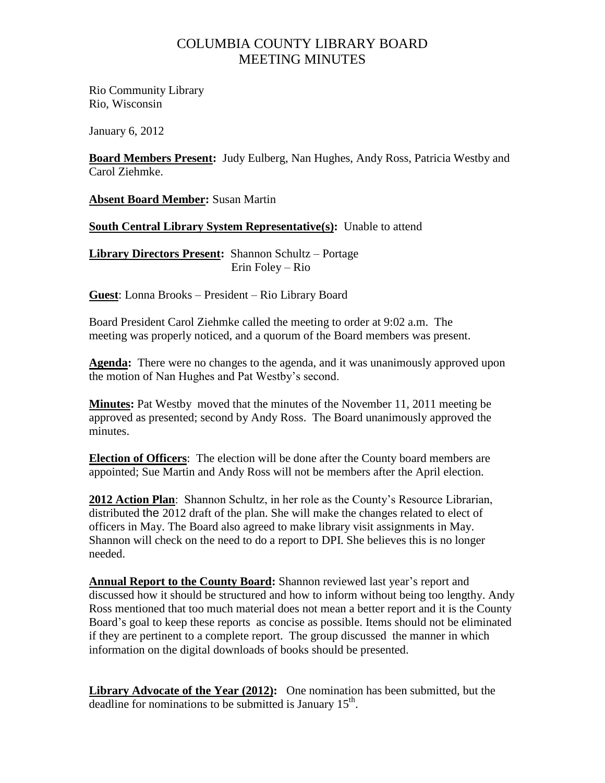## COLUMBIA COUNTY LIBRARY BOARD MEETING MINUTES

Rio Community Library Rio, Wisconsin

January 6, 2012

**Board Members Present:** Judy Eulberg, Nan Hughes, Andy Ross, Patricia Westby and Carol Ziehmke.

**Absent Board Member:** Susan Martin

**South Central Library System Representative(s):** Unable to attend

**Library Directors Present:** Shannon Schultz – Portage Erin Foley – Rio

**Guest**: Lonna Brooks – President – Rio Library Board

Board President Carol Ziehmke called the meeting to order at 9:02 a.m. The meeting was properly noticed, and a quorum of the Board members was present.

**Agenda:** There were no changes to the agenda, and it was unanimously approved upon the motion of Nan Hughes and Pat Westby's second.

**Minutes:** Pat Westby moved that the minutes of the November 11, 2011 meeting be approved as presented; second by Andy Ross. The Board unanimously approved the minutes.

**Election of Officers**: The election will be done after the County board members are appointed; Sue Martin and Andy Ross will not be members after the April election.

**2012 Action Plan**: Shannon Schultz, in her role as the County's Resource Librarian, distributed the 2012 draft of the plan. She will make the changes related to elect of officers in May. The Board also agreed to make library visit assignments in May. Shannon will check on the need to do a report to DPI. She believes this is no longer needed.

Annual Report to the County Board: Shannon reviewed last year's report and discussed how it should be structured and how to inform without being too lengthy. Andy Ross mentioned that too much material does not mean a better report and it is the County Board's goal to keep these reports as concise as possible. Items should not be eliminated if they are pertinent to a complete report. The group discussed the manner in which information on the digital downloads of books should be presented.

**Library Advocate of the Year (2012):** One nomination has been submitted, but the deadline for nominations to be submitted is January  $15<sup>th</sup>$ .